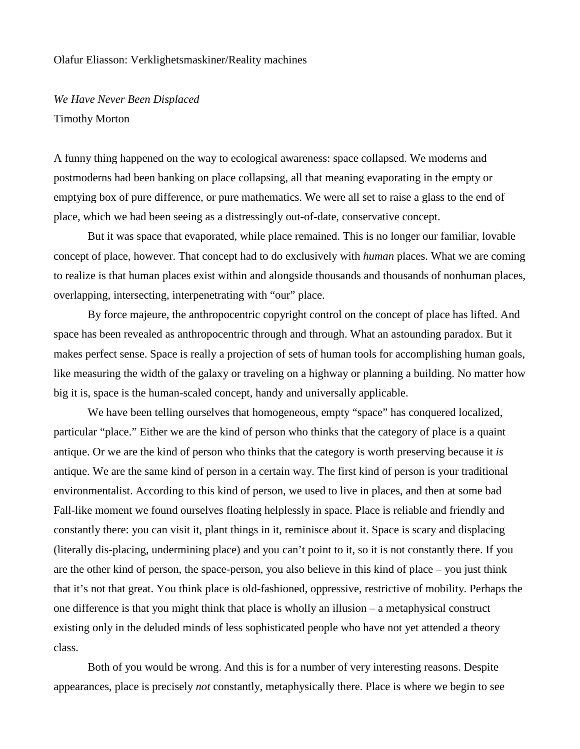## Olafur Eliasson: Verklighetsmaskiner/Reality machines

*We Have Never Been Displaced* Timothy Morton

A funny thing happened on the way to ecological awareness: space collapsed. We moderns and postmoderns had been banking on place collapsing, all that meaning evaporating in the empty or emptying box of pure difference, or pure mathematics. We were all set to raise a glass to the end of place, which we had been seeing as a distressingly out-of-date, conservative concept.

But it was space that evaporated, while place remained. This is no longer our familiar, lovable concept of place, however. That concept had to do exclusively with *human* places. What we are coming to realize is that human places exist within and alongside thousands and thousands of nonhuman places, overlapping, intersecting, interpenetrating with "our" place.

By force majeure, the anthropocentric copyright control on the concept of place has lifted. And space has been revealed as anthropocentric through and through. What an astounding paradox. But it makes perfect sense. Space is really a projection of sets of human tools for accomplishing human goals, like measuring the width of the galaxy or traveling on a highway or planning a building. No matter how big it is, space is the human-scaled concept, handy and universally applicable.

We have been telling ourselves that homogeneous, empty "space" has conquered localized, particular "place." Either we are the kind of person who thinks that the category of place is a quaint antique. Or we are the kind of person who thinks that the category is worth preserving because it *is* antique. We are the same kind of person in a certain way. The first kind of person is your traditional environmentalist. According to this kind of person, we used to live in places, and then at some bad Fall-like moment we found ourselves floating helplessly in space. Place is reliable and friendly and constantly there: you can visit it, plant things in it, reminisce about it. Space is scary and displacing (literally dis-placing, undermining place) and you can't point to it, so it is not constantly there. If you are the other kind of person, the space-person, you also believe in this kind of place – you just think that it's not that great. You think place is old-fashioned, oppressive, restrictive of mobility. Perhaps the one difference is that you might think that place is wholly an illusion – a metaphysical construct existing only in the deluded minds of less sophisticated people who have not yet attended a theory class.

Both of you would be wrong. And this is for a number of very interesting reasons. Despite appearances, place is precisely *not* constantly, metaphysically there. Place is where we begin to see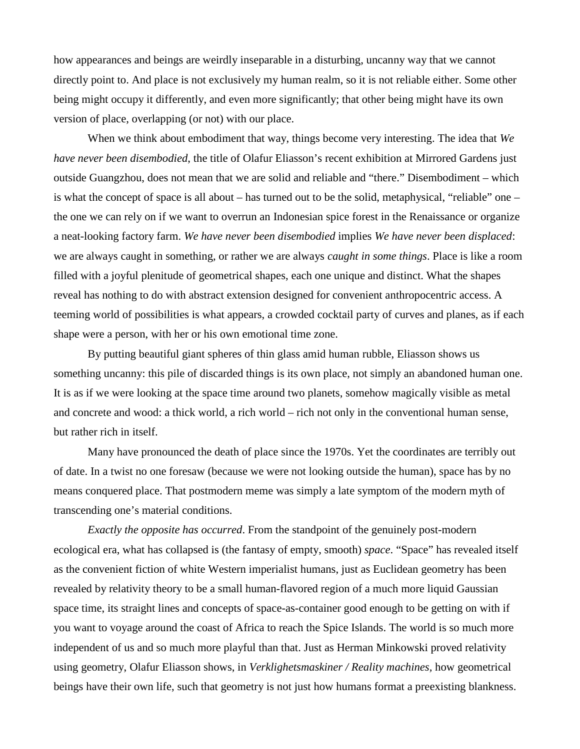how appearances and beings are weirdly inseparable in a disturbing, uncanny way that we cannot directly point to. And place is not exclusively my human realm, so it is not reliable either. Some other being might occupy it differently, and even more significantly; that other being might have its own version of place, overlapping (or not) with our place.

When we think about embodiment that way, things become very interesting. The idea that *We have never been disembodied*, the title of Olafur Eliasson's recent exhibition at Mirrored Gardens just outside Guangzhou, does not mean that we are solid and reliable and "there." Disembodiment – which is what the concept of space is all about – has turned out to be the solid, metaphysical, "reliable" one – the one we can rely on if we want to overrun an Indonesian spice forest in the Renaissance or organize a neat-looking factory farm. *We have never been disembodied* implies *We have never been displaced*: we are always caught in something, or rather we are always *caught in some things*. Place is like a room filled with a joyful plenitude of geometrical shapes, each one unique and distinct. What the shapes reveal has nothing to do with abstract extension designed for convenient anthropocentric access. A teeming world of possibilities is what appears, a crowded cocktail party of curves and planes, as if each shape were a person, with her or his own emotional time zone.

By putting beautiful giant spheres of thin glass amid human rubble, Eliasson shows us something uncanny: this pile of discarded things is its own place, not simply an abandoned human one. It is as if we were looking at the space time around two planets, somehow magically visible as metal and concrete and wood: a thick world, a rich world – rich not only in the conventional human sense, but rather rich in itself.

Many have pronounced the death of place since the 1970s. Yet the coordinates are terribly out of date. In a twist no one foresaw (because we were not looking outside the human), space has by no means conquered place. That postmodern meme was simply a late symptom of the modern myth of transcending one's material conditions.

*Exactly the opposite has occurred*. From the standpoint of the genuinely post-modern ecological era, what has collapsed is (the fantasy of empty, smooth) *space*. "Space" has revealed itself as the convenient fiction of white Western imperialist humans, just as Euclidean geometry has been revealed by relativity theory to be a small human-flavored region of a much more liquid Gaussian space time, its straight lines and concepts of space-as-container good enough to be getting on with if you want to voyage around the coast of Africa to reach the Spice Islands. The world is so much more independent of us and so much more playful than that. Just as Herman Minkowski proved relativity using geometry, Olafur Eliasson shows, in *Verklighetsmaskiner / Reality machines,* how geometrical beings have their own life, such that geometry is not just how humans format a preexisting blankness.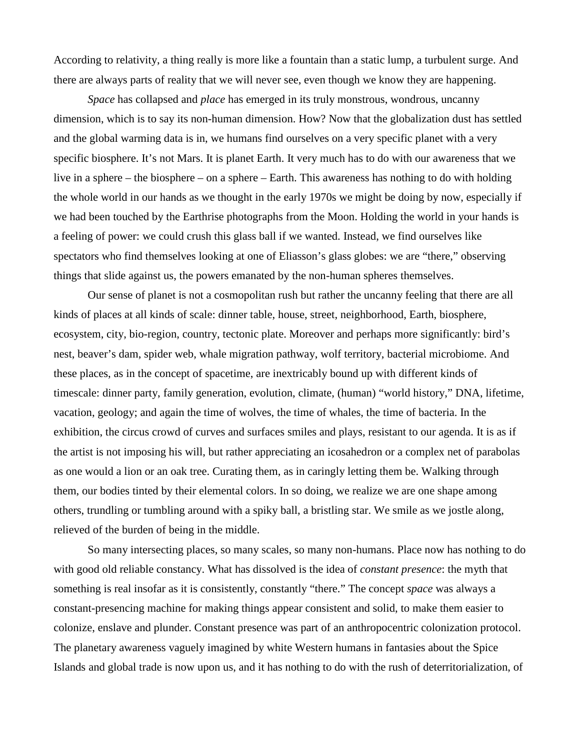According to relativity, a thing really is more like a fountain than a static lump, a turbulent surge. And there are always parts of reality that we will never see, even though we know they are happening.

*Space* has collapsed and *place* has emerged in its truly monstrous, wondrous, uncanny dimension, which is to say its non-human dimension. How? Now that the globalization dust has settled and the global warming data is in, we humans find ourselves on a very specific planet with a very specific biosphere. It's not Mars. It is planet Earth. It very much has to do with our awareness that we live in a sphere – the biosphere – on a sphere – Earth. This awareness has nothing to do with holding the whole world in our hands as we thought in the early 1970s we might be doing by now, especially if we had been touched by the Earthrise photographs from the Moon. Holding the world in your hands is a feeling of power: we could crush this glass ball if we wanted. Instead, we find ourselves like spectators who find themselves looking at one of Eliasson's glass globes: we are "there," observing things that slide against us, the powers emanated by the non-human spheres themselves.

Our sense of planet is not a cosmopolitan rush but rather the uncanny feeling that there are all kinds of places at all kinds of scale: dinner table, house, street, neighborhood, Earth, biosphere, ecosystem, city, bio-region, country, tectonic plate. Moreover and perhaps more significantly: bird's nest, beaver's dam, spider web, whale migration pathway, wolf territory, bacterial microbiome. And these places, as in the concept of spacetime, are inextricably bound up with different kinds of timescale: dinner party, family generation, evolution, climate, (human) "world history," DNA, lifetime, vacation, geology; and again the time of wolves, the time of whales, the time of bacteria. In the exhibition, the circus crowd of curves and surfaces smiles and plays, resistant to our agenda. It is as if the artist is not imposing his will, but rather appreciating an icosahedron or a complex net of parabolas as one would a lion or an oak tree. Curating them, as in caringly letting them be. Walking through them, our bodies tinted by their elemental colors. In so doing, we realize we are one shape among others, trundling or tumbling around with a spiky ball, a bristling star. We smile as we jostle along, relieved of the burden of being in the middle.

So many intersecting places, so many scales, so many non-humans. Place now has nothing to do with good old reliable constancy. What has dissolved is the idea of *constant presence*: the myth that something is real insofar as it is consistently, constantly "there." The concept *space* was always a constant-presencing machine for making things appear consistent and solid, to make them easier to colonize, enslave and plunder. Constant presence was part of an anthropocentric colonization protocol. The planetary awareness vaguely imagined by white Western humans in fantasies about the Spice Islands and global trade is now upon us, and it has nothing to do with the rush of deterritorialization, of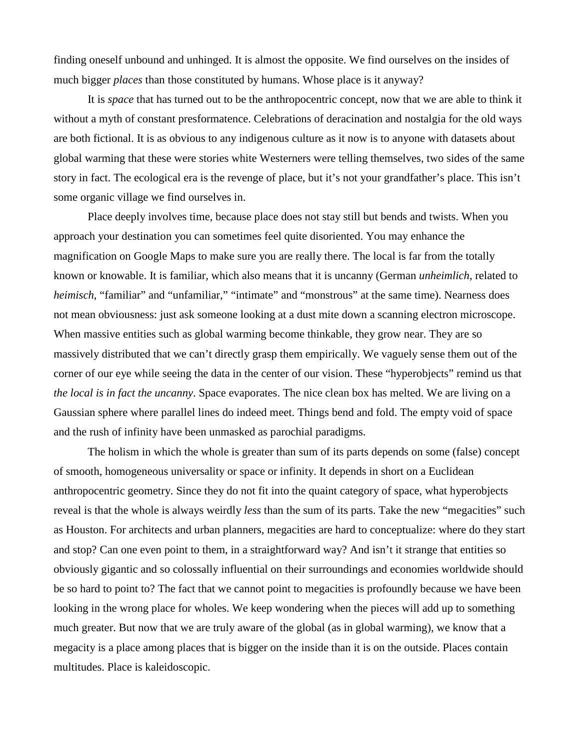finding oneself unbound and unhinged. It is almost the opposite. We find ourselves on the insides of much bigger *places* than those constituted by humans. Whose place is it anyway?

It is *space* that has turned out to be the anthropocentric concept, now that we are able to think it without a myth of constant presformatence. Celebrations of deracination and nostalgia for the old ways are both fictional. It is as obvious to any indigenous culture as it now is to anyone with datasets about global warming that these were stories white Westerners were telling themselves, two sides of the same story in fact. The ecological era is the revenge of place, but it's not your grandfather's place. This isn't some organic village we find ourselves in.

Place deeply involves time, because place does not stay still but bends and twists. When you approach your destination you can sometimes feel quite disoriented. You may enhance the magnification on Google Maps to make sure you are really there. The local is far from the totally known or knowable. It is familiar, which also means that it is uncanny (German *unheimlich*, related to *heimisch*, "familiar" and "unfamiliar," "intimate" and "monstrous" at the same time). Nearness does not mean obviousness: just ask someone looking at a dust mite down a scanning electron microscope. When massive entities such as global warming become thinkable, they grow near. They are so massively distributed that we can't directly grasp them empirically. We vaguely sense them out of the corner of our eye while seeing the data in the center of our vision. These "hyperobjects" remind us that *the local is in fact the uncanny*. Space evaporates. The nice clean box has melted. We are living on a Gaussian sphere where parallel lines do indeed meet. Things bend and fold. The empty void of space and the rush of infinity have been unmasked as parochial paradigms.

The holism in which the whole is greater than sum of its parts depends on some (false) concept of smooth, homogeneous universality or space or infinity. It depends in short on a Euclidean anthropocentric geometry. Since they do not fit into the quaint category of space, what hyperobjects reveal is that the whole is always weirdly *less* than the sum of its parts. Take the new "megacities" such as Houston. For architects and urban planners, megacities are hard to conceptualize: where do they start and stop? Can one even point to them, in a straightforward way? And isn't it strange that entities so obviously gigantic and so colossally influential on their surroundings and economies worldwide should be so hard to point to? The fact that we cannot point to megacities is profoundly because we have been looking in the wrong place for wholes. We keep wondering when the pieces will add up to something much greater. But now that we are truly aware of the global (as in global warming), we know that a megacity is a place among places that is bigger on the inside than it is on the outside. Places contain multitudes. Place is kaleidoscopic.